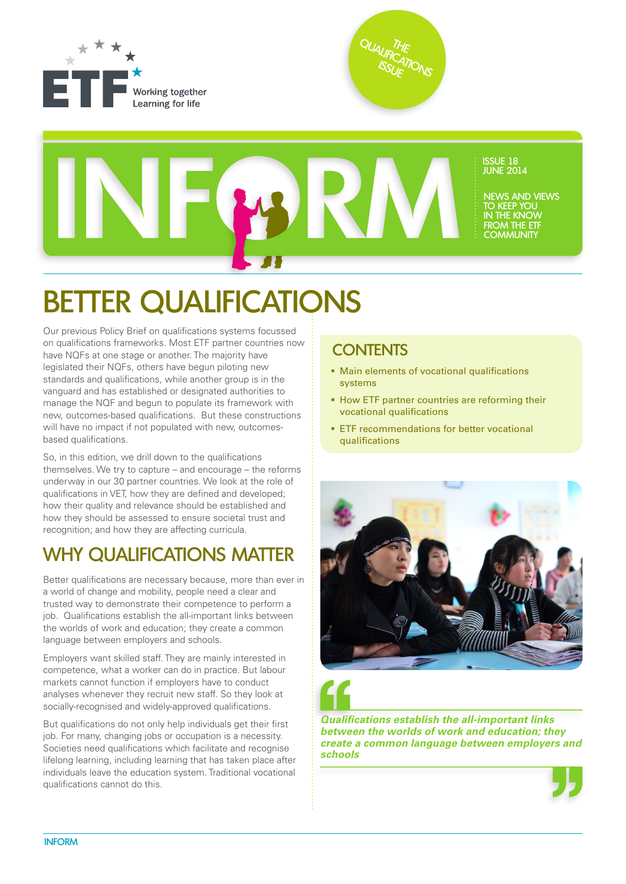





## BETTER QUALIFICATIONS

Our previous Policy Brief on qualifications systems focussed on qualifications frameworks. Most ETF partner countries now have NQFs at one stage or another. The majority have legislated their NQFs, others have begun piloting new standards and qualifications, while another group is in the vanguard and has established or designated authorities to manage the NQF and begun to populate its framework with new, outcomes-based qualifications. But these constructions will have no impact if not populated with new, outcomesbased qualifications.

So, in this edition, we drill down to the qualifications themselves. We try to capture – and encourage – the reforms underway in our 30 partner countries. We look at the role of qualifications in VET, how they are defined and developed; how their quality and relevance should be established and how they should be assessed to ensure societal trust and recognition; and how they are affecting curricula.

## WHY QUALIFICATIONS MATTER

Better qualifications are necessary because, more than ever in a world of change and mobility, people need a clear and trusted way to demonstrate their competence to perform a job. Qualifications establish the all-important links between the worlds of work and education; they create a common language between employers and schools.

Employers want skilled staff. They are mainly interested in competence, what a worker can do in practice. But labour markets cannot function if employers have to conduct analyses whenever they recruit new staff. So they look at socially-recognised and widely-approved qualifications.

But qualifications do not only help individuals get their first job. For many, changing jobs or occupation is a necessity. Societies need qualifications which facilitate and recognise lifelong learning, including learning that has taken place after individuals leave the education system. Traditional vocational qualifications cannot do this.

### **CONTENTS**

- Main elements of vocational qualifications systems
- **How ETF partner countries are reforming their** vocational qualifications
- **ETF** recommendations for better vocational qualifications





*Qualifications establish the all-important links between the worlds of work and education; they create a common language between employers and schools* 

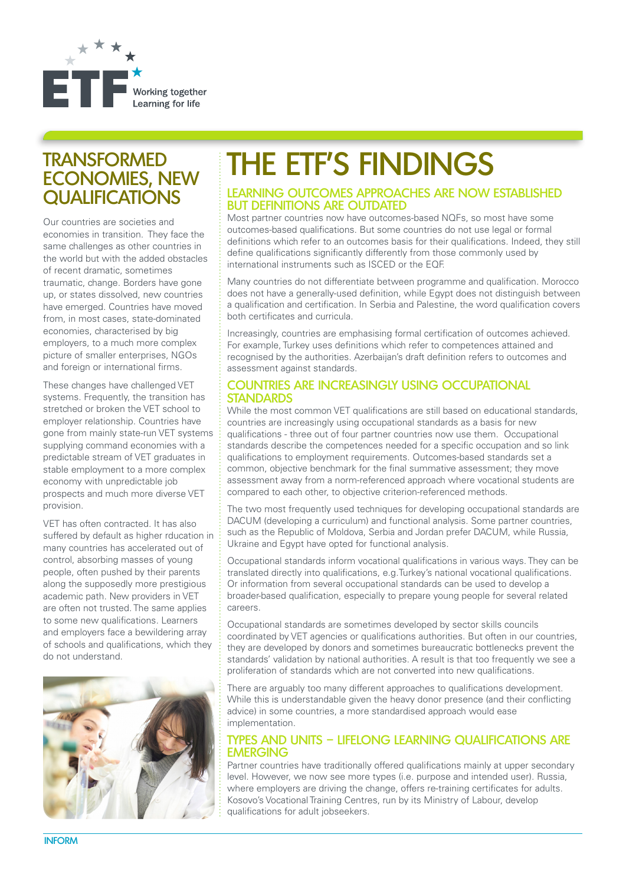

## **TRANSFORMED** ECONOMIES, NEW QUALIFICATIONS

Our countries are societies and economies in transition. They face the same challenges as other countries in the world but with the added obstacles of recent dramatic, sometimes traumatic, change. Borders have gone up, or states dissolved, new countries have emerged. Countries have moved from, in most cases, state-dominated economies, characterised by big employers, to a much more complex picture of smaller enterprises, NGOs and foreign or international firms.

These changes have challenged VET systems. Frequently, the transition has stretched or broken the VET school to employer relationship. Countries have gone from mainly state-run VET systems supplying command economies with a predictable stream of VET graduates in stable employment to a more complex economy with unpredictable job prospects and much more diverse VET provision.

VET has often contracted. It has also suffered by default as higher rducation in many countries has accelerated out of control, absorbing masses of young people, often pushed by their parents along the supposedly more prestigious academic path. New providers in VET are often not trusted. The same applies to some new qualifications. Learners and employers face a bewildering array of schools and qualifications, which they do not understand.



# THE ETF'S FINDINGS

#### LEARNING OUTCOMES APPROACHES ARE NOW ESTABLISHED BUT DEFINITIONS ARE OUTDATED

Most partner countries now have outcomes-based NQFs, so most have some outcomes-based qualifications. But some countries do not use legal or formal definitions which refer to an outcomes basis for their qualifications. Indeed, they still define qualifications significantly differently from those commonly used by international instruments such as ISCED or the EQF.

Many countries do not differentiate between programme and qualification. Morocco does not have a generally-used definition, while Egypt does not distinguish between a qualification and certification. In Serbia and Palestine, the word qualification covers both certificates and curricula.

Increasingly, countries are emphasising formal certification of outcomes achieved. For example, Turkey uses definitions which refer to competences attained and recognised by the authorities. Azerbaijan's draft definition refers to outcomes and assessment against standards.

#### COUNTRIES ARE INCREASINGLY USING OCCUPATIONAL **STANDARDS**

While the most common VET qualifications are still based on educational standards, countries are increasingly using occupational standards as a basis for new qualifications - three out of four partner countries now use them. Occupational standards describe the competences needed for a specific occupation and so link qualifications to employment requirements. Outcomes-based standards set a common, objective benchmark for the final summative assessment; they move assessment away from a norm-referenced approach where vocational students are compared to each other, to objective criterion-referenced methods.

The two most frequently used techniques for developing occupational standards are DACUM (developing a curriculum) and functional analysis. Some partner countries, such as the Republic of Moldova, Serbia and Jordan prefer DACUM, while Russia, Ukraine and Egypt have opted for functional analysis.

Occupational standards inform vocational qualifications in various ways. They can be translated directly into qualifications, e.g.Turkey's national vocational qualifications. Or information from several occupational standards can be used to develop a broader-based qualification, especially to prepare young people for several related careers.

Occupational standards are sometimes developed by sector skills councils coordinated by VET agencies or qualifications authorities. But often in our countries, they are developed by donors and sometimes bureaucratic bottlenecks prevent the standards' validation by national authorities. A result is that too frequently we see a proliferation of standards which are not converted into new qualifications.

There are arguably too many different approaches to qualifications development. While this is understandable given the heavy donor presence (and their conflicting advice) in some countries, a more standardised approach would ease implementation.

#### TYPES AND UNITS – LIFELONG LEARNING QUALIFICATIONS ARE EMERGING

Partner countries have traditionally offered qualifications mainly at upper secondary level. However, we now see more types (i.e. purpose and intended user). Russia, where employers are driving the change, offers re-training certificates for adults. Kosovo's Vocational Training Centres, run by its Ministry of Labour, develop qualifications for adult jobseekers.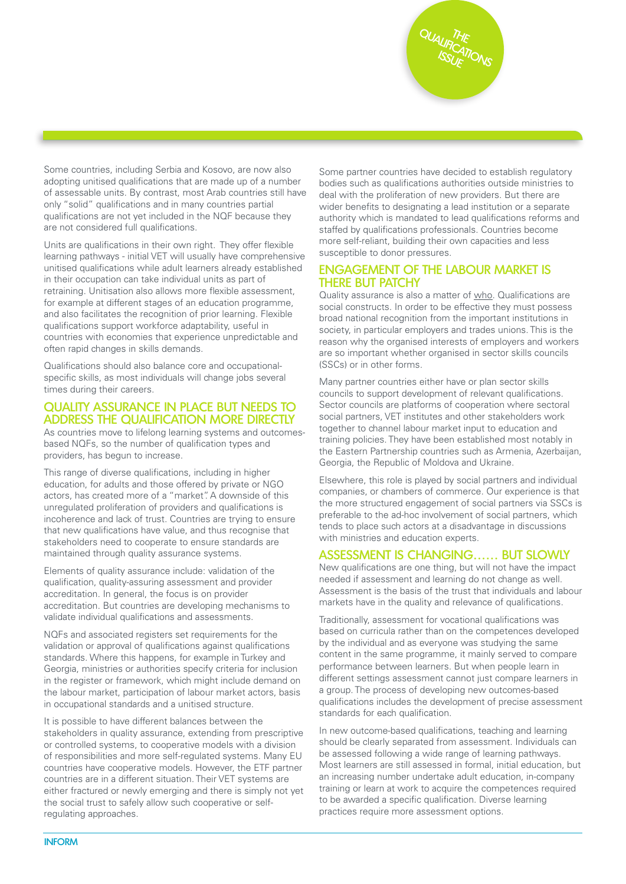QUALIFICATIONS **THE** ISSUE

Some countries, including Serbia and Kosovo, are now also adopting unitised qualifications that are made up of a number of assessable units. By contrast, most Arab countries still have only "solid" qualifications and in many countries partial qualifications are not yet included in the NQF because they are not considered full qualifications.

Units are qualifications in their own right. They offer flexible learning pathways - initial VET will usually have comprehensive unitised qualifications while adult learners already established in their occupation can take individual units as part of retraining. Unitisation also allows more flexible assessment, for example at different stages of an education programme, and also facilitates the recognition of prior learning. Flexible qualifications support workforce adaptability, useful in countries with economies that experience unpredictable and often rapid changes in skills demands.

Qualifications should also balance core and occupationalspecific skills, as most individuals will change jobs several times during their careers.

#### QUALITY ASSURANCE IN PLACE BUT NEEDS TO ADDRESS THE QUALIFICATION MORE DIRECTLY

As countries move to lifelong learning systems and outcomesbased NQFs, so the number of qualification types and providers, has begun to increase.

This range of diverse qualifications, including in higher education, for adults and those offered by private or NGO actors, has created more of a "market". A downside of this unregulated proliferation of providers and qualifications is incoherence and lack of trust. Countries are trying to ensure that new qualifications have value, and thus recognise that stakeholders need to cooperate to ensure standards are maintained through quality assurance systems.

Elements of quality assurance include: validation of the qualification, quality-assuring assessment and provider accreditation. In general, the focus is on provider accreditation. But countries are developing mechanisms to validate individual qualifications and assessments.

NQFs and associated registers set requirements for the validation or approval of qualifications against qualifications standards. Where this happens, for example in Turkey and Georgia, ministries or authorities specify criteria for inclusion in the register or framework, which might include demand on the labour market, participation of labour market actors, basis in occupational standards and a unitised structure.

It is possible to have different balances between the stakeholders in quality assurance, extending from prescriptive or controlled systems, to cooperative models with a division of responsibilities and more self-regulated systems. Many EU countries have cooperative models. However, the ETF partner countries are in a different situation. Their VET systems are either fractured or newly emerging and there is simply not yet the social trust to safely allow such cooperative or selfregulating approaches.

Some partner countries have decided to establish regulatory bodies such as qualifications authorities outside ministries to deal with the proliferation of new providers. But there are wider benefits to designating a lead institution or a separate authority which is mandated to lead qualifications reforms and staffed by qualifications professionals. Countries become more self-reliant, building their own capacities and less susceptible to donor pressures.

#### ENGAGEMENT OF THE LABOUR MARKET IS THERE BUT PATCHY

Quality assurance is also a matter of who. Qualifications are social constructs. In order to be effective they must possess broad national recognition from the important institutions in society, in particular employers and trades unions. This is the reason why the organised interests of employers and workers are so important whether organised in sector skills councils (SSCs) or in other forms.

Many partner countries either have or plan sector skills councils to support development of relevant qualifications. Sector councils are platforms of cooperation where sectoral social partners, VET institutes and other stakeholders work together to channel labour market input to education and training policies. They have been established most notably in the Eastern Partnership countries such as Armenia, Azerbaijan, Georgia, the Republic of Moldova and Ukraine.

Elsewhere, this role is played by social partners and individual companies, or chambers of commerce. Our experience is that the more structured engagement of social partners via SSCs is preferable to the ad-hoc involvement of social partners, which tends to place such actors at a disadvantage in discussions with ministries and education experts.

#### ASSESSMENT IS CHANGING…… BUT SLOWLY

New qualifications are one thing, but will not have the impact needed if assessment and learning do not change as well. Assessment is the basis of the trust that individuals and labour markets have in the quality and relevance of qualifications.

Traditionally, assessment for vocational qualifications was based on curricula rather than on the competences developed by the individual and as everyone was studying the same content in the same programme, it mainly served to compare performance between learners. But when people learn in different settings assessment cannot just compare learners in a group. The process of developing new outcomes-based qualifications includes the development of precise assessment standards for each qualification.

In new outcome-based qualifications, teaching and learning should be clearly separated from assessment. Individuals can be assessed following a wide range of learning pathways. Most learners are still assessed in formal, initial education, but an increasing number undertake adult education, in-company training or learn at work to acquire the competences required to be awarded a specific qualification. Diverse learning practices require more assessment options.